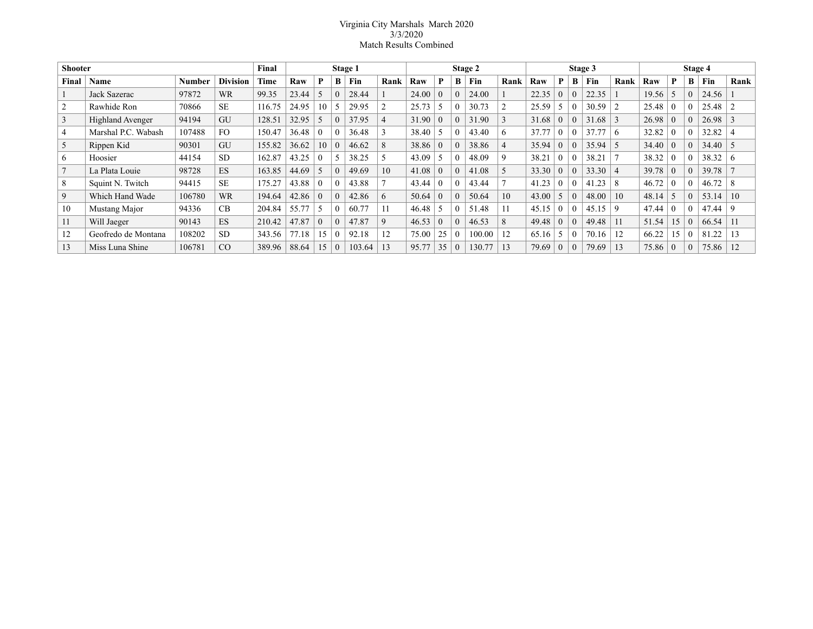## Virginia City Marshals March 2020 3/3/2020 Match Results Combined

| <b>Shooter</b> |                         |        |                 | Final  |       |          |          | Stage 1 |      |       |                  |          | Stage 2 |      |       |          |          | Stage 3 |                |       |    |          | Stage 4 |               |
|----------------|-------------------------|--------|-----------------|--------|-------|----------|----------|---------|------|-------|------------------|----------|---------|------|-------|----------|----------|---------|----------------|-------|----|----------|---------|---------------|
| Final          | Name                    | Number | <b>Division</b> | Time   | Raw   | P        | B        | Fin     | Rank | Raw   | P                | B        | Fin     | Rank | Raw   | P        | B        | Fin     | Rank           | Raw   | P  | B        | Fin     | Rank          |
|                | Jack Sazerac            | 97872  | <b>WR</b>       | 99.35  | 23.44 |          |          | 28.44   |      | 24.00 | $\theta$         | $\theta$ | 24.00   |      | 22.35 | $\theta$ | $\Omega$ | 22.35   |                | 19.56 |    | $\Omega$ | 24.56   |               |
|                | Rawhide Ron             | 70866  | <b>SE</b>       | 116.75 | 24.95 | 10       |          | 29.95   |      | 25.73 |                  | $\theta$ | 30.73   |      | 25.59 | 5        | $\theta$ | 30.59   | 2              | 25.48 |    | 0        | 25.48   |               |
| 3              | <b>Highland Avenger</b> | 94194  | GU              | 128.51 | 32.95 |          |          | 37.95   |      | 31.90 | 0                | $\theta$ | 31.90   |      | 31.68 | $\Omega$ | $\Omega$ | 31.68   | $\mathcal{R}$  | 26.98 |    | $\Omega$ | 26.98   | $\mathcal{R}$ |
| 4              | Marshal P.C. Wabash     | 107488 | FO.             | 150.47 | 36.48 |          |          | 36.48   |      | 38.40 |                  | $\left($ | 43.40   | 6    | 37.77 | $\theta$ | $\Omega$ | 37.77   | -6             | 32.82 |    |          | 32.82   |               |
| 5              | Rippen Kid              | 90301  | GU              | 155.82 | 36.62 | 10       | $\Omega$ | 46.62   | 8    | 38.86 | 0                | $\theta$ | 38.86   | 4    | 35.94 | $\theta$ | $\theta$ | 35.94   | $\sim$         | 34.40 |    | $\Omega$ | 34.40   | 5             |
| 6              | Hoosier                 | 44154  | <b>SD</b>       | 162.87 | 43.25 |          |          | 38.25   |      | 43.09 |                  | $\left($ | 48.09   | 9    | 38.21 | $\theta$ | $\theta$ | 38.21   |                | 38.32 |    |          | 38.32   | 6             |
|                | La Plata Louie          | 98728  | ES              | 163.85 | 44.69 |          | $\Omega$ | 49.69   | 10   | 41.08 | 0                | $\theta$ | 41.08   | 5    | 33.30 | $\theta$ | $\Omega$ | 33.30   | $\overline{4}$ | 39.78 |    | $\Omega$ | 39.78   |               |
| 8              | Squint N. Twitch        | 94415  | <b>SE</b>       | 175.27 | 43.88 | $\theta$ |          | 43.88   |      | 43.44 | 0                | $\theta$ | 43.44   |      | 41.23 | $\theta$ | $\theta$ | 41.23   | 8              | 46.72 |    |          | 46.72   | 8             |
| 9              | Which Hand Wade         | 106780 | <b>WR</b>       | 194.64 | 42.86 | $\Omega$ | 0        | 42.86   | 6    | 50.64 | 0                | $\theta$ | 50.64   | 10   | 43.00 | 5        | $\Omega$ | 48.00   | 10             | 48.14 |    | 0        | 53.14   | 10            |
| 10             | Mustang Major           | 94336  | CB.             | 204.84 | 55.77 |          |          | 60.77   | 11   | 46.48 | 5                | $\left($ | 51.48   | 11   | 45.15 | $\theta$ | $\theta$ | 45.15   | 9              | 47.44 |    |          | 47.44   | 9             |
| 11             | Will Jaeger             | 90143  | ES              | 210.42 | 47.87 | $\theta$ | $\Omega$ | 47.87   | 9    | 46.53 | $\left( \right)$ | $\theta$ | 46.53   | 8    | 49.48 | $\Omega$ | $\theta$ | 49.48   | 11             | 51.54 | 15 | $\Omega$ | 66.54   | 11            |
| 12             | Geofredo de Montana     | 108202 | <b>SD</b>       | 343.56 | 77.18 | 15       | $\Omega$ | 92.18   | 12   | 75.00 | 25               | $\theta$ | 100.00  | 12   | 65.16 | 5        | $\theta$ | 70.16   | 12             | 66.22 | 15 |          | 81.22   | 13            |
| 13             | Miss Luna Shine         | 106781 | CO              | 389.96 | 88.64 | 15       | $\Omega$ | 103.64  | 13   | 95.77 | 35               | $\theta$ | 130.77  | 13   | 79.69 | $\theta$ | $\theta$ | 79.69   | 13             | 75.86 |    | $\Omega$ | 75.86   | 12            |